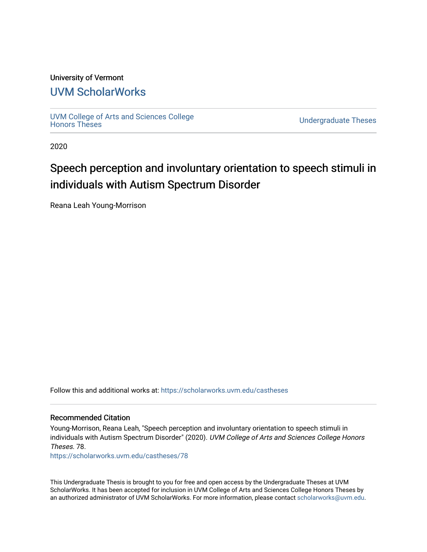# University of Vermont

# [UVM ScholarWorks](https://scholarworks.uvm.edu/)

[UVM College of Arts and Sciences College](https://scholarworks.uvm.edu/castheses)

**Undergraduate Theses** 

2020

# Speech perception and involuntary orientation to speech stimuli in individuals with Autism Spectrum Disorder

Reana Leah Young-Morrison

Follow this and additional works at: [https://scholarworks.uvm.edu/castheses](https://scholarworks.uvm.edu/castheses?utm_source=scholarworks.uvm.edu%2Fcastheses%2F78&utm_medium=PDF&utm_campaign=PDFCoverPages)

#### Recommended Citation

Young-Morrison, Reana Leah, "Speech perception and involuntary orientation to speech stimuli in individuals with Autism Spectrum Disorder" (2020). UVM College of Arts and Sciences College Honors Theses. 78.

[https://scholarworks.uvm.edu/castheses/78](https://scholarworks.uvm.edu/castheses/78?utm_source=scholarworks.uvm.edu%2Fcastheses%2F78&utm_medium=PDF&utm_campaign=PDFCoverPages) 

This Undergraduate Thesis is brought to you for free and open access by the Undergraduate Theses at UVM ScholarWorks. It has been accepted for inclusion in UVM College of Arts and Sciences College Honors Theses by an authorized administrator of UVM ScholarWorks. For more information, please contact [scholarworks@uvm.edu.](mailto:scholarworks@uvm.edu)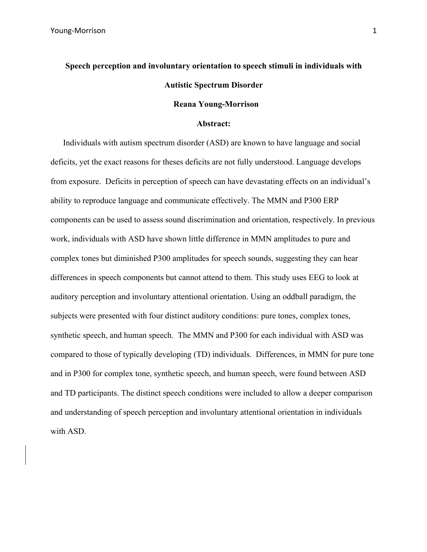# **Speech perception and involuntary orientation to speech stimuli in individuals with Autistic Spectrum Disorder**

# **Reana Young-Morrison**

#### **Abstract:**

Individuals with autism spectrum disorder (ASD) are known to have language and social deficits, yet the exact reasons for theses deficits are not fully understood. Language develops from exposure. Deficits in perception of speech can have devastating effects on an individual's ability to reproduce language and communicate effectively. The MMN and P300 ERP components can be used to assess sound discrimination and orientation, respectively. In previous work, individuals with ASD have shown little difference in MMN amplitudes to pure and complex tones but diminished P300 amplitudes for speech sounds, suggesting they can hear differences in speech components but cannot attend to them. This study uses EEG to look at auditory perception and involuntary attentional orientation. Using an oddball paradigm, the subjects were presented with four distinct auditory conditions: pure tones, complex tones, synthetic speech, and human speech. The MMN and P300 for each individual with ASD was compared to those of typically developing (TD) individuals. Differences, in MMN for pure tone and in P300 for complex tone, synthetic speech, and human speech, were found between ASD and TD participants. The distinct speech conditions were included to allow a deeper comparison and understanding of speech perception and involuntary attentional orientation in individuals with ASD.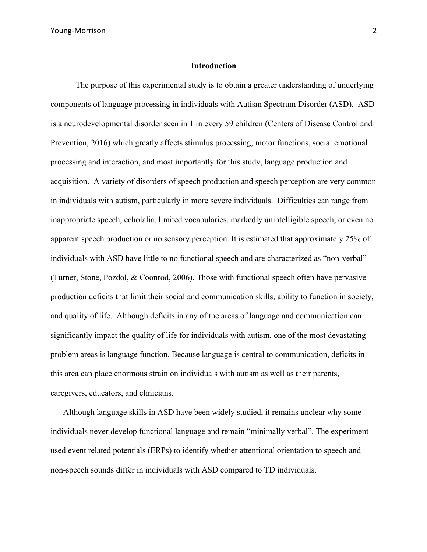#### **Introduction**

The purpose of this experimental study is to obtain a greater understanding of underlying components of language processing in individuals with Autism Spectrum Disorder (ASD). ASD is a neurodevelopmental disorder seen in 1 in every 59 children (Centers of Disease Control and Prevention, 2016) which greatly affects stimulus processing, motor functions, social emotional processing and interaction, and most importantly for this study, language production and acquisition. A variety of disorders of speech production and speech perception are very common in individuals with autism, particularly in more severe individuals. Difficulties can range from inappropriate speech, echolalia, limited vocabularies, markedly unintelligible speech, or even no apparent speech production or no sensory perception. It is estimated that approximately 25% of individuals with ASD have little to no functional speech and are characterized as "non-verbal" (Turner, Stone, Pozdol, & Coonrod, 2006). Those with functional speech often have pervasive production deficits that limit their social and communication skills, ability to function in society, and quality of life. Although deficits in any of the areas of language and communication can significantly impact the quality of life for individuals with autism, one of the most devastating problem areas is language function. Because language is central to communication, deficits in this area can place enormous strain on individuals with autism as well as their parents, caregivers, educators, and clinicians.

Although language skills in ASD have been widely studied, it remains unclear why some individuals never develop functional language and remain "minimally verbal". The experiment used event related potentials (ERPs) to identify whether attentional orientation to speech and non-speech sounds differ in individuals with ASD compared to TD individuals.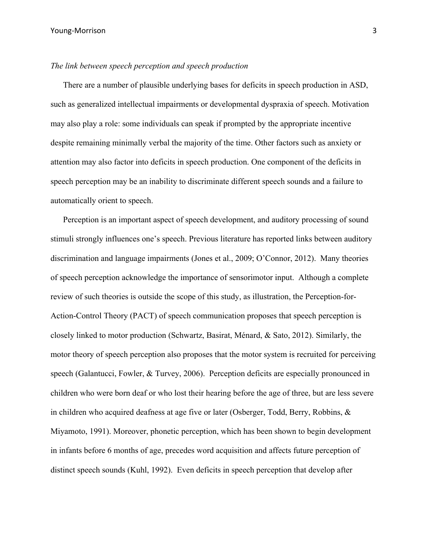## *The link between speech perception and speech production*

There are a number of plausible underlying bases for deficits in speech production in ASD, such as generalized intellectual impairments or developmental dyspraxia of speech. Motivation may also play a role: some individuals can speak if prompted by the appropriate incentive despite remaining minimally verbal the majority of the time. Other factors such as anxiety or attention may also factor into deficits in speech production. One component of the deficits in speech perception may be an inability to discriminate different speech sounds and a failure to automatically orient to speech.

Perception is an important aspect of speech development, and auditory processing of sound stimuli strongly influences one's speech. Previous literature has reported links between auditory discrimination and language impairments (Jones et al., 2009; O'Connor, 2012). Many theories of speech perception acknowledge the importance of sensorimotor input. Although a complete review of such theories is outside the scope of this study, as illustration, the Perception-for-Action-Control Theory (PACT) of speech communication proposes that speech perception is closely linked to motor production (Schwartz, Basirat, Ménard, & Sato, 2012). Similarly, the motor theory of speech perception also proposes that the motor system is recruited for perceiving speech (Galantucci, Fowler, & Turvey, 2006). Perception deficits are especially pronounced in children who were born deaf or who lost their hearing before the age of three, but are less severe in children who acquired deafness at age five or later (Osberger, Todd, Berry, Robbins, & Miyamoto, 1991). Moreover, phonetic perception, which has been shown to begin development in infants before 6 months of age, precedes word acquisition and affects future perception of distinct speech sounds (Kuhl, 1992). Even deficits in speech perception that develop after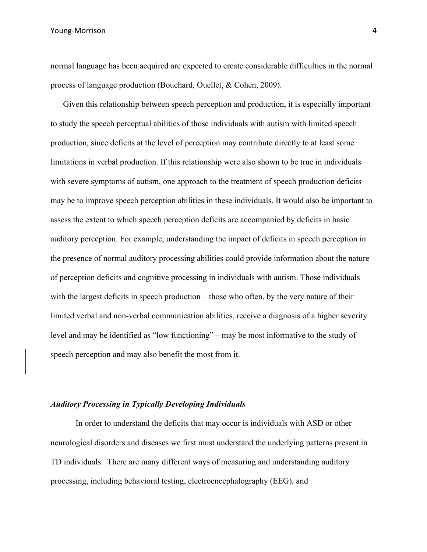Young-Morrison 4

normal language has been acquired are expected to create considerable difficulties in the normal process of language production (Bouchard, Ouellet, & Cohen, 2009).

Given this relationship between speech perception and production, it is especially important to study the speech perceptual abilities of those individuals with autism with limited speech production, since deficits at the level of perception may contribute directly to at least some limitations in verbal production. If this relationship were also shown to be true in individuals with severe symptoms of autism, one approach to the treatment of speech production deficits may be to improve speech perception abilities in these individuals. It would also be important to assess the extent to which speech perception deficits are accompanied by deficits in basic auditory perception. For example, understanding the impact of deficits in speech perception in the presence of normal auditory processing abilities could provide information about the nature of perception deficits and cognitive processing in individuals with autism. Those individuals with the largest deficits in speech production – those who often, by the very nature of their limited verbal and non-verbal communication abilities, receive a diagnosis of a higher severity level and may be identified as "low functioning" – may be most informative to the study of speech perception and may also benefit the most from it.

# *Auditory Processing in Typically Developing Individuals*

In order to understand the deficits that may occur is individuals with ASD or other neurological disorders and diseases we first must understand the underlying patterns present in TD individuals. There are many different ways of measuring and understanding auditory processing, including behavioral testing, electroencephalography (EEG), and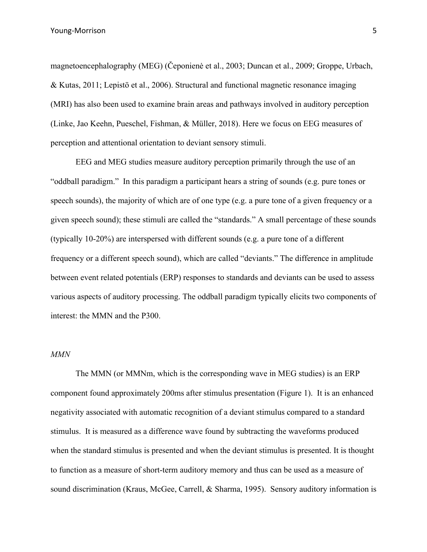magnetoencephalography (MEG) (Čeponienė et al., 2003; Duncan et al., 2009; Groppe, Urbach, & Kutas, 2011; Lepistö et al., 2006). Structural and functional magnetic resonance imaging (MRI) has also been used to examine brain areas and pathways involved in auditory perception (Linke, Jao Keehn, Pueschel, Fishman, & Müller, 2018). Here we focus on EEG measures of perception and attentional orientation to deviant sensory stimuli.

EEG and MEG studies measure auditory perception primarily through the use of an "oddball paradigm." In this paradigm a participant hears a string of sounds (e.g. pure tones or speech sounds), the majority of which are of one type (e.g. a pure tone of a given frequency or a given speech sound); these stimuli are called the "standards." A small percentage of these sounds (typically 10-20%) are interspersed with different sounds (e.g. a pure tone of a different frequency or a different speech sound), which are called "deviants." The difference in amplitude between event related potentials (ERP) responses to standards and deviants can be used to assess various aspects of auditory processing. The oddball paradigm typically elicits two components of interest: the MMN and the P300.

# *MMN*

The MMN (or MMNm, which is the corresponding wave in MEG studies) is an ERP component found approximately 200ms after stimulus presentation (Figure 1). It is an enhanced negativity associated with automatic recognition of a deviant stimulus compared to a standard stimulus. It is measured as a difference wave found by subtracting the waveforms produced when the standard stimulus is presented and when the deviant stimulus is presented. It is thought to function as a measure of short-term auditory memory and thus can be used as a measure of sound discrimination (Kraus, McGee, Carrell, & Sharma, 1995). Sensory auditory information is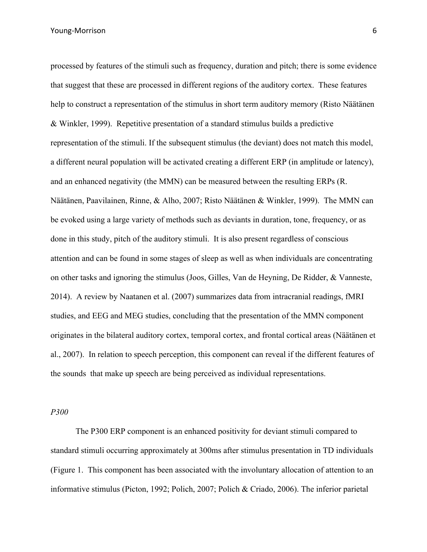Young-Morrison 6

processed by features of the stimuli such as frequency, duration and pitch; there is some evidence that suggest that these are processed in different regions of the auditory cortex. These features help to construct a representation of the stimulus in short term auditory memory (Risto Näätänen & Winkler, 1999). Repetitive presentation of a standard stimulus builds a predictive representation of the stimuli. If the subsequent stimulus (the deviant) does not match this model, a different neural population will be activated creating a different ERP (in amplitude or latency), and an enhanced negativity (the MMN) can be measured between the resulting ERPs (R. Näätänen, Paavilainen, Rinne, & Alho, 2007; Risto Näätänen & Winkler, 1999). The MMN can be evoked using a large variety of methods such as deviants in duration, tone, frequency, or as done in this study, pitch of the auditory stimuli. It is also present regardless of conscious attention and can be found in some stages of sleep as well as when individuals are concentrating on other tasks and ignoring the stimulus (Joos, Gilles, Van de Heyning, De Ridder, & Vanneste, 2014). A review by Naatanen et al. (2007) summarizes data from intracranial readings, fMRI studies, and EEG and MEG studies, concluding that the presentation of the MMN component originates in the bilateral auditory cortex, temporal cortex, and frontal cortical areas (Näätänen et al., 2007). In relation to speech perception, this component can reveal if the different features of the sounds that make up speech are being perceived as individual representations.

*P300*

The P300 ERP component is an enhanced positivity for deviant stimuli compared to standard stimuli occurring approximately at 300ms after stimulus presentation in TD individuals (Figure 1. This component has been associated with the involuntary allocation of attention to an informative stimulus (Picton, 1992; Polich, 2007; Polich & Criado, 2006). The inferior parietal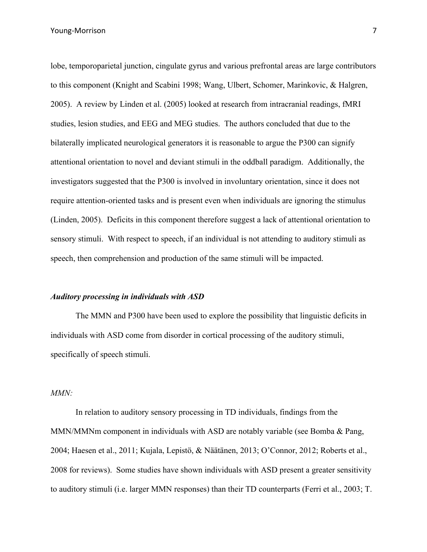lobe, temporoparietal junction, cingulate gyrus and various prefrontal areas are large contributors to this component (Knight and Scabini 1998; Wang, Ulbert, Schomer, Marinkovic, & Halgren, 2005). A review by Linden et al. (2005) looked at research from intracranial readings, fMRI studies, lesion studies, and EEG and MEG studies. The authors concluded that due to the bilaterally implicated neurological generators it is reasonable to argue the P300 can signify attentional orientation to novel and deviant stimuli in the oddball paradigm. Additionally, the investigators suggested that the P300 is involved in involuntary orientation, since it does not require attention-oriented tasks and is present even when individuals are ignoring the stimulus (Linden, 2005). Deficits in this component therefore suggest a lack of attentional orientation to sensory stimuli. With respect to speech, if an individual is not attending to auditory stimuli as speech, then comprehension and production of the same stimuli will be impacted.

#### *Auditory processing in individuals with ASD*

The MMN and P300 have been used to explore the possibility that linguistic deficits in individuals with ASD come from disorder in cortical processing of the auditory stimuli, specifically of speech stimuli.

#### *MMN:*

In relation to auditory sensory processing in TD individuals, findings from the MMN/MMNm component in individuals with ASD are notably variable (see Bomba & Pang, 2004; Haesen et al., 2011; Kujala, Lepistö, & Näätänen, 2013; O'Connor, 2012; Roberts et al., 2008 for reviews). Some studies have shown individuals with ASD present a greater sensitivity to auditory stimuli (i.e. larger MMN responses) than their TD counterparts (Ferri et al., 2003; T.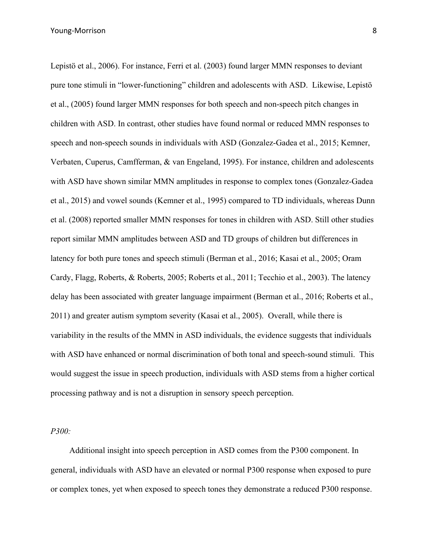Lepistö et al., 2006). For instance, Ferri et al. (2003) found larger MMN responses to deviant pure tone stimuli in "lower-functioning" children and adolescents with ASD. Likewise, Lepistö et al., (2005) found larger MMN responses for both speech and non-speech pitch changes in children with ASD. In contrast, other studies have found normal or reduced MMN responses to speech and non-speech sounds in individuals with ASD (Gonzalez-Gadea et al., 2015; Kemner, Verbaten, Cuperus, Camfferman, & van Engeland, 1995). For instance, children and adolescents with ASD have shown similar MMN amplitudes in response to complex tones (Gonzalez-Gadea et al., 2015) and vowel sounds (Kemner et al., 1995) compared to TD individuals, whereas Dunn et al. (2008) reported smaller MMN responses for tones in children with ASD. Still other studies report similar MMN amplitudes between ASD and TD groups of children but differences in latency for both pure tones and speech stimuli (Berman et al., 2016; Kasai et al., 2005; Oram Cardy, Flagg, Roberts, & Roberts, 2005; Roberts et al., 2011; Tecchio et al., 2003). The latency delay has been associated with greater language impairment (Berman et al., 2016; Roberts et al., 2011) and greater autism symptom severity (Kasai et al., 2005). Overall, while there is variability in the results of the MMN in ASD individuals, the evidence suggests that individuals with ASD have enhanced or normal discrimination of both tonal and speech-sound stimuli. This would suggest the issue in speech production, individuals with ASD stems from a higher cortical processing pathway and is not a disruption in sensory speech perception.

# *P300:*

Additional insight into speech perception in ASD comes from the P300 component. In general, individuals with ASD have an elevated or normal P300 response when exposed to pure or complex tones, yet when exposed to speech tones they demonstrate a reduced P300 response.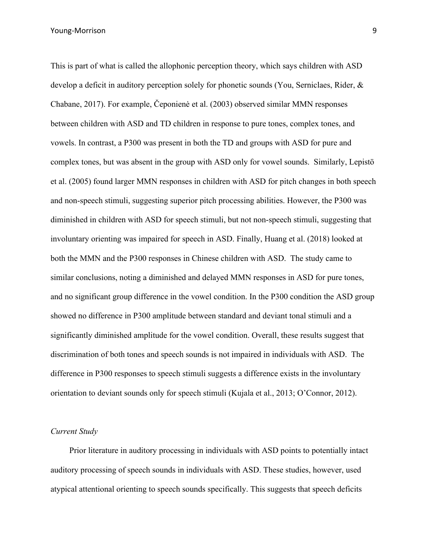Young-Morrison 9

This is part of what is called the allophonic perception theory, which says children with ASD develop a deficit in auditory perception solely for phonetic sounds (You, Serniclaes, Rider, & Chabane, 2017). For example, Čeponienė et al. (2003) observed similar MMN responses between children with ASD and TD children in response to pure tones, complex tones, and vowels. In contrast, a P300 was present in both the TD and groups with ASD for pure and complex tones, but was absent in the group with ASD only for vowel sounds. Similarly, Lepistö et al. (2005) found larger MMN responses in children with ASD for pitch changes in both speech and non-speech stimuli, suggesting superior pitch processing abilities. However, the P300 was diminished in children with ASD for speech stimuli, but not non-speech stimuli, suggesting that involuntary orienting was impaired for speech in ASD. Finally, Huang et al. (2018) looked at both the MMN and the P300 responses in Chinese children with ASD. The study came to similar conclusions, noting a diminished and delayed MMN responses in ASD for pure tones, and no significant group difference in the vowel condition. In the P300 condition the ASD group showed no difference in P300 amplitude between standard and deviant tonal stimuli and a significantly diminished amplitude for the vowel condition. Overall, these results suggest that discrimination of both tones and speech sounds is not impaired in individuals with ASD. The difference in P300 responses to speech stimuli suggests a difference exists in the involuntary orientation to deviant sounds only for speech stimuli (Kujala et al., 2013; O'Connor, 2012).

# *Current Study*

Prior literature in auditory processing in individuals with ASD points to potentially intact auditory processing of speech sounds in individuals with ASD. These studies, however, used atypical attentional orienting to speech sounds specifically. This suggests that speech deficits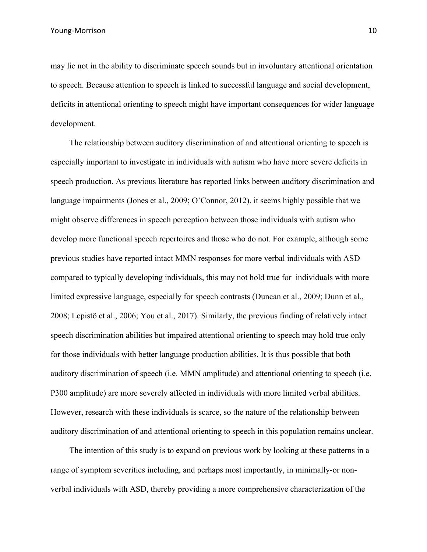may lie not in the ability to discriminate speech sounds but in involuntary attentional orientation to speech. Because attention to speech is linked to successful language and social development, deficits in attentional orienting to speech might have important consequences for wider language development.

The relationship between auditory discrimination of and attentional orienting to speech is especially important to investigate in individuals with autism who have more severe deficits in speech production. As previous literature has reported links between auditory discrimination and language impairments (Jones et al., 2009; O'Connor, 2012), it seems highly possible that we might observe differences in speech perception between those individuals with autism who develop more functional speech repertoires and those who do not. For example, although some previous studies have reported intact MMN responses for more verbal individuals with ASD compared to typically developing individuals, this may not hold true for individuals with more limited expressive language, especially for speech contrasts (Duncan et al., 2009; Dunn et al., 2008; Lepistö et al., 2006; You et al., 2017). Similarly, the previous finding of relatively intact speech discrimination abilities but impaired attentional orienting to speech may hold true only for those individuals with better language production abilities. It is thus possible that both auditory discrimination of speech (i.e. MMN amplitude) and attentional orienting to speech (i.e. P300 amplitude) are more severely affected in individuals with more limited verbal abilities. However, research with these individuals is scarce, so the nature of the relationship between auditory discrimination of and attentional orienting to speech in this population remains unclear.

The intention of this study is to expand on previous work by looking at these patterns in a range of symptom severities including, and perhaps most importantly, in minimally-or nonverbal individuals with ASD, thereby providing a more comprehensive characterization of the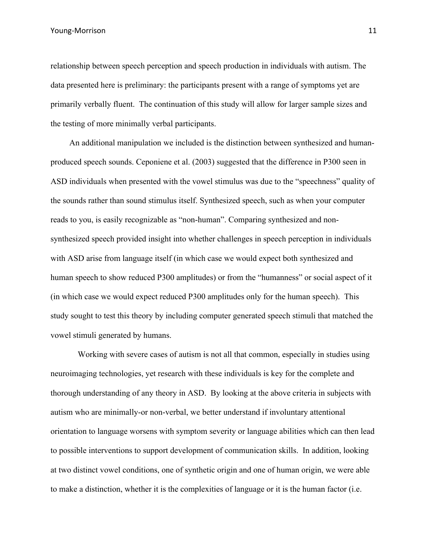Young-Morrison 11

relationship between speech perception and speech production in individuals with autism. The data presented here is preliminary: the participants present with a range of symptoms yet are primarily verbally fluent. The continuation of this study will allow for larger sample sizes and the testing of more minimally verbal participants.

An additional manipulation we included is the distinction between synthesized and humanproduced speech sounds. Ceponiene et al. (2003) suggested that the difference in P300 seen in ASD individuals when presented with the vowel stimulus was due to the "speechness" quality of the sounds rather than sound stimulus itself. Synthesized speech, such as when your computer reads to you, is easily recognizable as "non-human". Comparing synthesized and nonsynthesized speech provided insight into whether challenges in speech perception in individuals with ASD arise from language itself (in which case we would expect both synthesized and human speech to show reduced P300 amplitudes) or from the "humanness" or social aspect of it (in which case we would expect reduced P300 amplitudes only for the human speech). This study sought to test this theory by including computer generated speech stimuli that matched the vowel stimuli generated by humans.

Working with severe cases of autism is not all that common, especially in studies using neuroimaging technologies, yet research with these individuals is key for the complete and thorough understanding of any theory in ASD. By looking at the above criteria in subjects with autism who are minimally-or non-verbal, we better understand if involuntary attentional orientation to language worsens with symptom severity or language abilities which can then lead to possible interventions to support development of communication skills. In addition, looking at two distinct vowel conditions, one of synthetic origin and one of human origin, we were able to make a distinction, whether it is the complexities of language or it is the human factor (i.e.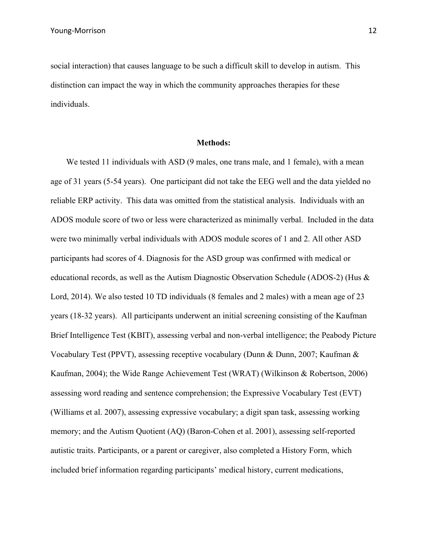social interaction) that causes language to be such a difficult skill to develop in autism. This distinction can impact the way in which the community approaches therapies for these individuals.

#### **Methods:**

We tested 11 individuals with ASD (9 males, one trans male, and 1 female), with a mean age of 31 years (5-54 years). One participant did not take the EEG well and the data yielded no reliable ERP activity. This data was omitted from the statistical analysis. Individuals with an ADOS module score of two or less were characterized as minimally verbal. Included in the data were two minimally verbal individuals with ADOS module scores of 1 and 2. All other ASD participants had scores of 4. Diagnosis for the ASD group was confirmed with medical or educational records, as well as the Autism Diagnostic Observation Schedule (ADOS-2) (Hus & Lord, 2014). We also tested 10 TD individuals (8 females and 2 males) with a mean age of 23 years (18-32 years). All participants underwent an initial screening consisting of the Kaufman Brief Intelligence Test (KBIT), assessing verbal and non-verbal intelligence; the Peabody Picture Vocabulary Test (PPVT), assessing receptive vocabulary (Dunn & Dunn, 2007; Kaufman & Kaufman, 2004); the Wide Range Achievement Test (WRAT) (Wilkinson & Robertson, 2006) assessing word reading and sentence comprehension; the Expressive Vocabulary Test (EVT) (Williams et al. 2007), assessing expressive vocabulary; a digit span task, assessing working memory; and the Autism Quotient (AQ) (Baron-Cohen et al. 2001), assessing self-reported autistic traits. Participants, or a parent or caregiver, also completed a History Form, which included brief information regarding participants' medical history, current medications,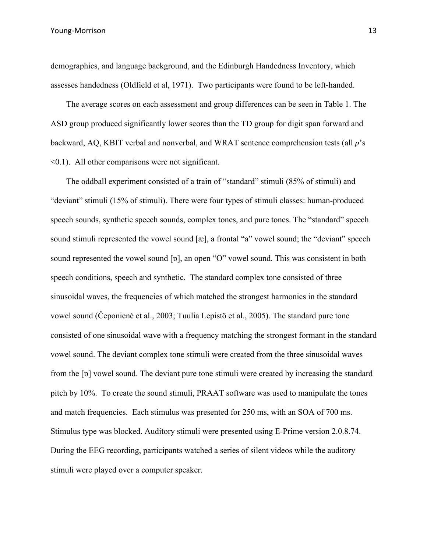demographics, and language background, and the Edinburgh Handedness Inventory, which assesses handedness (Oldfield et al, 1971). Two participants were found to be left-handed.

The average scores on each assessment and group differences can be seen in Table 1. The ASD group produced significantly lower scores than the TD group for digit span forward and backward, AQ, KBIT verbal and nonverbal, and WRAT sentence comprehension tests (all *p*'s  $\leq$ 0.1). All other comparisons were not significant.

The oddball experiment consisted of a train of "standard" stimuli (85% of stimuli) and "deviant" stimuli (15% of stimuli). There were four types of stimuli classes: human-produced speech sounds, synthetic speech sounds, complex tones, and pure tones. The "standard" speech sound stimuli represented the vowel sound [æ], a frontal "a" vowel sound; the "deviant" speech sound represented the vowel sound [ɒ], an open "O" vowel sound. This was consistent in both speech conditions, speech and synthetic. The standard complex tone consisted of three sinusoidal waves, the frequencies of which matched the strongest harmonics in the standard vowel sound (Čeponienė et al., 2003; Tuulia Lepistö et al., 2005). The standard pure tone consisted of one sinusoidal wave with a frequency matching the strongest formant in the standard vowel sound. The deviant complex tone stimuli were created from the three sinusoidal waves from the [ɒ] vowel sound. The deviant pure tone stimuli were created by increasing the standard pitch by 10%. To create the sound stimuli, PRAAT software was used to manipulate the tones and match frequencies. Each stimulus was presented for 250 ms, with an SOA of 700 ms. Stimulus type was blocked. Auditory stimuli were presented using E-Prime version 2.0.8.74. During the EEG recording, participants watched a series of silent videos while the auditory stimuli were played over a computer speaker.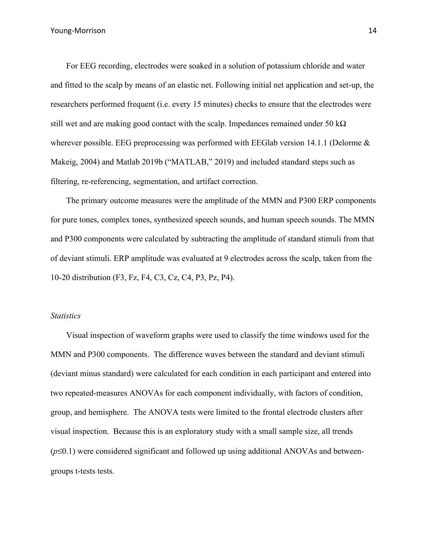For EEG recording, electrodes were soaked in a solution of potassium chloride and water and fitted to the scalp by means of an elastic net. Following initial net application and set-up, the researchers performed frequent (i.e. every 15 minutes) checks to ensure that the electrodes were still wet and are making good contact with the scalp. Impedances remained under 50 k $\Omega$ wherever possible. EEG preprocessing was performed with EEGlab version 14.1.1 (Delorme  $\&$ Makeig, 2004) and Matlab 2019b ("MATLAB," 2019) and included standard steps such as filtering, re-referencing, segmentation, and artifact correction.

The primary outcome measures were the amplitude of the MMN and P300 ERP components for pure tones, complex tones, synthesized speech sounds, and human speech sounds. The MMN and P300 components were calculated by subtracting the amplitude of standard stimuli from that of deviant stimuli. ERP amplitude was evaluated at 9 electrodes across the scalp, taken from the 10-20 distribution (F3, Fz, F4, C3, Cz, C4, P3, Pz, P4).

#### *Statistics*

Visual inspection of waveform graphs were used to classify the time windows used for the MMN and P300 components. The difference waves between the standard and deviant stimuli (deviant minus standard) were calculated for each condition in each participant and entered into two repeated-measures ANOVAs for each component individually, with factors of condition, group, and hemisphere. The ANOVA tests were limited to the frontal electrode clusters after visual inspection. Because this is an exploratory study with a small sample size, all trends  $(p \le 0.1)$  were considered significant and followed up using additional ANOVAs and betweengroups t-tests tests.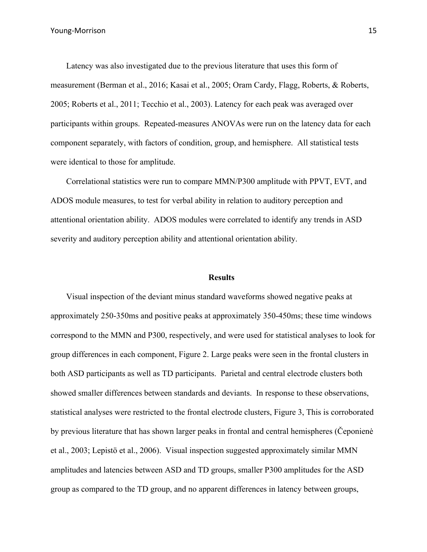Latency was also investigated due to the previous literature that uses this form of measurement (Berman et al., 2016; Kasai et al., 2005; Oram Cardy, Flagg, Roberts, & Roberts, 2005; Roberts et al., 2011; Tecchio et al., 2003). Latency for each peak was averaged over participants within groups. Repeated-measures ANOVAs were run on the latency data for each component separately, with factors of condition, group, and hemisphere. All statistical tests were identical to those for amplitude.

Correlational statistics were run to compare MMN/P300 amplitude with PPVT, EVT, and ADOS module measures, to test for verbal ability in relation to auditory perception and attentional orientation ability. ADOS modules were correlated to identify any trends in ASD severity and auditory perception ability and attentional orientation ability.

#### **Results**

Visual inspection of the deviant minus standard waveforms showed negative peaks at approximately 250-350ms and positive peaks at approximately 350-450ms; these time windows correspond to the MMN and P300, respectively, and were used for statistical analyses to look for group differences in each component, Figure 2. Large peaks were seen in the frontal clusters in both ASD participants as well as TD participants. Parietal and central electrode clusters both showed smaller differences between standards and deviants. In response to these observations, statistical analyses were restricted to the frontal electrode clusters, Figure 3, This is corroborated by previous literature that has shown larger peaks in frontal and central hemispheres (Čeponienė et al., 2003; Lepistö et al., 2006). Visual inspection suggested approximately similar MMN amplitudes and latencies between ASD and TD groups, smaller P300 amplitudes for the ASD group as compared to the TD group, and no apparent differences in latency between groups,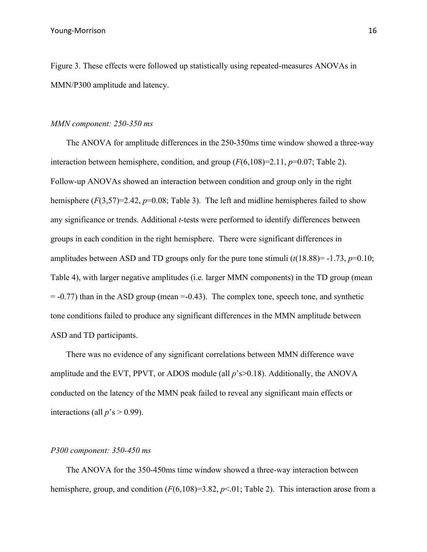Figure 3. These effects were followed up statistically using repeated-measures ANOVAs in MMN/P300 amplitude and latency.

# *MMN component: 250-350 ms*

The ANOVA for amplitude differences in the 250-350ms time window showed a three-way interaction between hemisphere, condition, and group  $(F(6,108)=2.11, p=0.07;$  Table 2). Follow-up ANOVAs showed an interaction between condition and group only in the right hemisphere  $(F(3,57)=2.42, p=0.08;$  Table 3). The left and midline hemispheres failed to show any significance or trends. Additional *t*-tests were performed to identify differences between groups in each condition in the right hemisphere. There were significant differences in amplitudes between ASD and TD groups only for the pure tone stimuli  $(t(18.88)) = -1.73$ ,  $p=0.10$ ; Table 4), with larger negative amplitudes (i.e. larger MMN components) in the TD group (mean  $= -0.77$ ) than in the ASD group (mean  $= -0.43$ ). The complex tone, speech tone, and synthetic tone conditions failed to produce any significant differences in the MMN amplitude between ASD and TD participants.

There was no evidence of any significant correlations between MMN difference wave amplitude and the EVT, PPVT, or ADOS module (all *p*'s>0.18). Additionally, the ANOVA conducted on the latency of the MMN peak failed to reveal any significant main effects or interactions (all  $p$ 's > 0.99).

### *P300 component: 350-450 ms*

The ANOVA for the 350-450ms time window showed a three-way interaction between hemisphere, group, and condition (*F*(6,108)=3.82, *p*<.01; Table 2). This interaction arose from a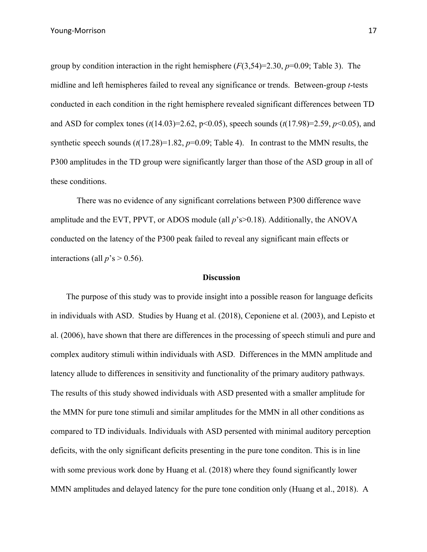group by condition interaction in the right hemisphere (*F*(3,54)=2.30, *p*=0.09; Table 3). The midline and left hemispheres failed to reveal any significance or trends. Between-group *t*-tests conducted in each condition in the right hemisphere revealed significant differences between TD and ASD for complex tones (*t*(14.03)=2.62, p<0.05), speech sounds (*t*(17.98)=2.59, *p*<0.05), and synthetic speech sounds  $(t(17.28)=1.82, p=0.09;$  Table 4). In contrast to the MMN results, the P300 amplitudes in the TD group were significantly larger than those of the ASD group in all of these conditions.

 There was no evidence of any significant correlations between P300 difference wave amplitude and the EVT, PPVT, or ADOS module (all *p*'s>0.18). Additionally, the ANOVA conducted on the latency of the P300 peak failed to reveal any significant main effects or interactions (all  $p's > 0.56$ ).

# **Discussion**

The purpose of this study was to provide insight into a possible reason for language deficits in individuals with ASD. Studies by Huang et al. (2018), Ceponiene et al. (2003), and Lepisto et al. (2006), have shown that there are differences in the processing of speech stimuli and pure and complex auditory stimuli within individuals with ASD. Differences in the MMN amplitude and latency allude to differences in sensitivity and functionality of the primary auditory pathways. The results of this study showed individuals with ASD presented with a smaller amplitude for the MMN for pure tone stimuli and similar amplitudes for the MMN in all other conditions as compared to TD individuals. Individuals with ASD persented with minimal auditory perception deficits, with the only significant deficits presenting in the pure tone conditon. This is in line with some previous work done by Huang et al. (2018) where they found significantly lower MMN amplitudes and delayed latency for the pure tone condition only (Huang et al., 2018). A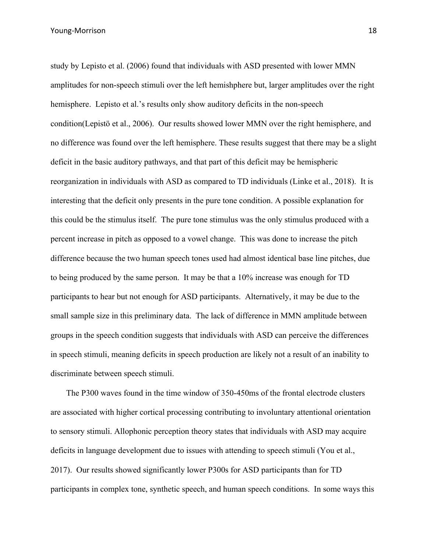study by Lepisto et al. (2006) found that individuals with ASD presented with lower MMN amplitudes for non-speech stimuli over the left hemishphere but, larger amplitudes over the right hemisphere. Lepisto et al.'s results only show auditory deficits in the non-speech condition(Lepistö et al., 2006). Our results showed lower MMN over the right hemisphere, and no difference was found over the left hemisphere. These results suggest that there may be a slight deficit in the basic auditory pathways, and that part of this deficit may be hemispheric reorganization in individuals with ASD as compared to TD individuals (Linke et al., 2018). It is interesting that the deficit only presents in the pure tone condition. A possible explanation for this could be the stimulus itself. The pure tone stimulus was the only stimulus produced with a percent increase in pitch as opposed to a vowel change. This was done to increase the pitch difference because the two human speech tones used had almost identical base line pitches, due to being produced by the same person. It may be that a 10% increase was enough for TD participants to hear but not enough for ASD participants. Alternatively, it may be due to the small sample size in this preliminary data. The lack of difference in MMN amplitude between groups in the speech condition suggests that individuals with ASD can perceive the differences in speech stimuli, meaning deficits in speech production are likely not a result of an inability to discriminate between speech stimuli.

The P300 waves found in the time window of 350-450ms of the frontal electrode clusters are associated with higher cortical processing contributing to involuntary attentional orientation to sensory stimuli. Allophonic perception theory states that individuals with ASD may acquire deficits in language development due to issues with attending to speech stimuli (You et al., 2017). Our results showed significantly lower P300s for ASD participants than for TD participants in complex tone, synthetic speech, and human speech conditions. In some ways this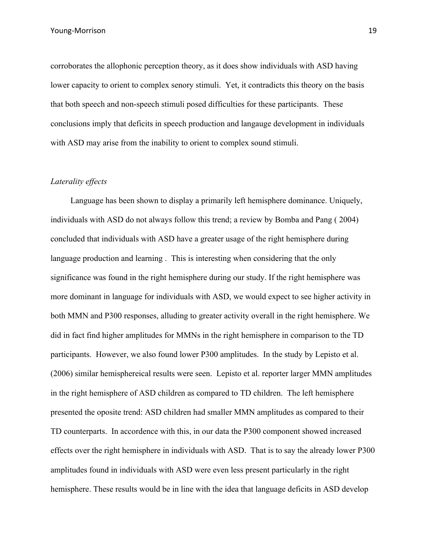corroborates the allophonic perception theory, as it does show individuals with ASD having lower capacity to orient to complex senory stimuli. Yet, it contradicts this theory on the basis that both speech and non-speech stimuli posed difficulties for these participants. These conclusions imply that deficits in speech production and langauge development in individuals with ASD may arise from the inability to orient to complex sound stimuli.

## *Laterality effects*

 Language has been shown to display a primarily left hemisphere dominance. Uniquely, individuals with ASD do not always follow this trend; a review by Bomba and Pang ( 2004) concluded that individuals with ASD have a greater usage of the right hemisphere during language production and learning . This is interesting when considering that the only significance was found in the right hemisphere during our study. If the right hemisphere was more dominant in language for individuals with ASD, we would expect to see higher activity in both MMN and P300 responses, alluding to greater activity overall in the right hemisphere. We did in fact find higher amplitudes for MMNs in the right hemisphere in comparison to the TD participants. However, we also found lower P300 amplitudes. In the study by Lepisto et al. (2006) similar hemisphereical results were seen. Lepisto et al. reporter larger MMN amplitudes in the right hemisphere of ASD children as compared to TD children. The left hemisphere presented the oposite trend: ASD children had smaller MMN amplitudes as compared to their TD counterparts. In accordence with this, in our data the P300 component showed increased effects over the right hemisphere in individuals with ASD. That is to say the already lower P300 amplitudes found in individuals with ASD were even less present particularly in the right hemisphere. These results would be in line with the idea that language deficits in ASD develop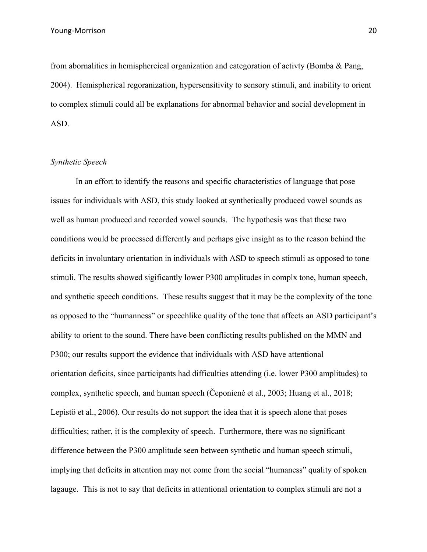from abornalities in hemisphereical organization and categoration of activty (Bomba & Pang, 2004). Hemispherical regoranization, hypersensitivity to sensory stimuli, and inability to orient to complex stimuli could all be explanations for abnormal behavior and social development in ASD.

### *Synthetic Speech*

In an effort to identify the reasons and specific characteristics of language that pose issues for individuals with ASD, this study looked at synthetically produced vowel sounds as well as human produced and recorded vowel sounds. The hypothesis was that these two conditions would be processed differently and perhaps give insight as to the reason behind the deficits in involuntary orientation in individuals with ASD to speech stimuli as opposed to tone stimuli. The results showed sigificantly lower P300 amplitudes in complx tone, human speech, and synthetic speech conditions. These results suggest that it may be the complexity of the tone as opposed to the "humanness" or speechlike quality of the tone that affects an ASD participant's ability to orient to the sound. There have been conflicting results published on the MMN and P300; our results support the evidence that individuals with ASD have attentional orientation deficits, since participants had difficulties attending (i.e. lower P300 amplitudes) to complex, synthetic speech, and human speech (Čeponienė et al., 2003; Huang et al., 2018; Lepistö et al., 2006). Our results do not support the idea that it is speech alone that poses difficulties; rather, it is the complexity of speech. Furthermore, there was no significant difference between the P300 amplitude seen between synthetic and human speech stimuli, implying that deficits in attention may not come from the social "humaness" quality of spoken lagauge. This is not to say that deficits in attentional orientation to complex stimuli are not a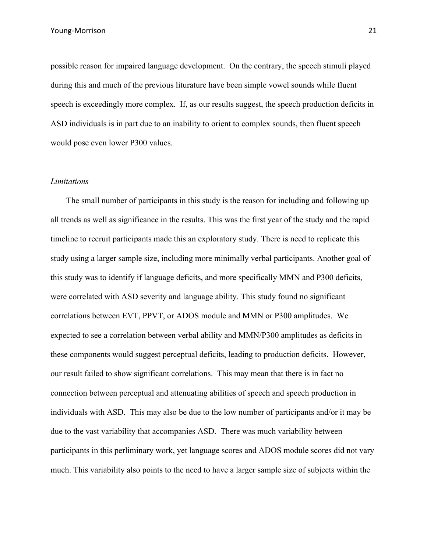possible reason for impaired language development. On the contrary, the speech stimuli played during this and much of the previous liturature have been simple vowel sounds while fluent speech is exceedingly more complex. If, as our results suggest, the speech production deficits in ASD individuals is in part due to an inability to orient to complex sounds, then fluent speech would pose even lower P300 values.

### *Limitations*

The small number of participants in this study is the reason for including and following up all trends as well as significance in the results. This was the first year of the study and the rapid timeline to recruit participants made this an exploratory study. There is need to replicate this study using a larger sample size, including more minimally verbal participants. Another goal of this study was to identify if language deficits, and more specifically MMN and P300 deficits, were correlated with ASD severity and language ability. This study found no significant correlations between EVT, PPVT, or ADOS module and MMN or P300 amplitudes. We expected to see a correlation between verbal ability and MMN/P300 amplitudes as deficits in these components would suggest perceptual deficits, leading to production deficits. However, our result failed to show significant correlations. This may mean that there is in fact no connection between perceptual and attenuating abilities of speech and speech production in individuals with ASD. This may also be due to the low number of participants and/or it may be due to the vast variability that accompanies ASD. There was much variability between participants in this perliminary work, yet language scores and ADOS module scores did not vary much. This variability also points to the need to have a larger sample size of subjects within the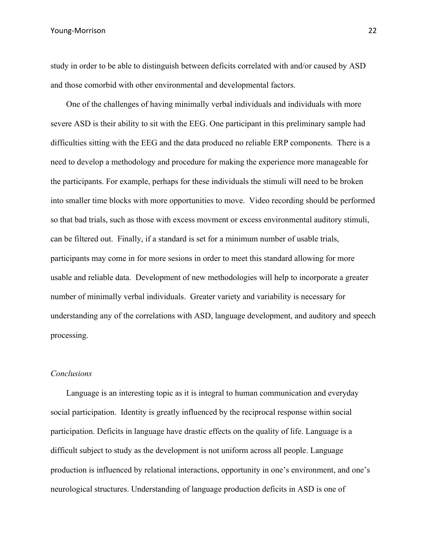Young-Morrison 22

study in order to be able to distinguish between deficits correlated with and/or caused by ASD and those comorbid with other environmental and developmental factors.

One of the challenges of having minimally verbal individuals and individuals with more severe ASD is their ability to sit with the EEG. One participant in this preliminary sample had difficulties sitting with the EEG and the data produced no reliable ERP components. There is a need to develop a methodology and procedure for making the experience more manageable for the participants. For example, perhaps for these individuals the stimuli will need to be broken into smaller time blocks with more opportunities to move. Video recording should be performed so that bad trials, such as those with excess movment or excess environmental auditory stimuli, can be filtered out. Finally, if a standard is set for a minimum number of usable trials, participants may come in for more sesions in order to meet this standard allowing for more usable and reliable data. Development of new methodologies will help to incorporate a greater number of minimally verbal individuals. Greater variety and variability is necessary for understanding any of the correlations with ASD, language development, and auditory and speech processing.

# *Conclusions*

Language is an interesting topic as it is integral to human communication and everyday social participation. Identity is greatly influenced by the reciprocal response within social participation. Deficits in language have drastic effects on the quality of life. Language is a difficult subject to study as the development is not uniform across all people. Language production is influenced by relational interactions, opportunity in one's environment, and one's neurological structures. Understanding of language production deficits in ASD is one of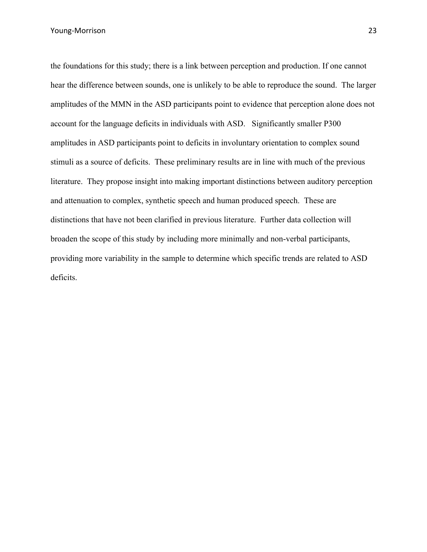the foundations for this study; there is a link between perception and production. If one cannot hear the difference between sounds, one is unlikely to be able to reproduce the sound. The larger amplitudes of the MMN in the ASD participants point to evidence that perception alone does not account for the language deficits in individuals with ASD. Significantly smaller P300 amplitudes in ASD participants point to deficits in involuntary orientation to complex sound stimuli as a source of deficits. These preliminary results are in line with much of the previous literature. They propose insight into making important distinctions between auditory perception and attenuation to complex, synthetic speech and human produced speech. These are distinctions that have not been clarified in previous literature. Further data collection will broaden the scope of this study by including more minimally and non-verbal participants, providing more variability in the sample to determine which specific trends are related to ASD deficits.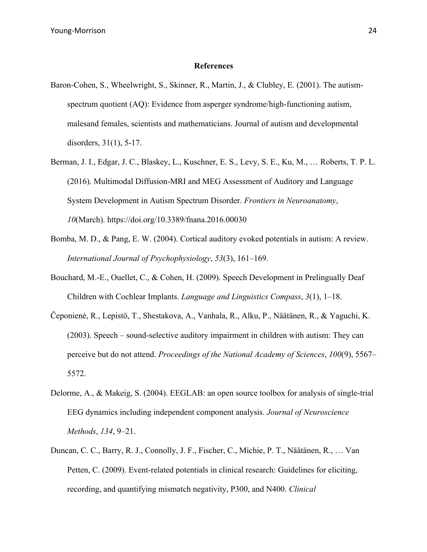#### **References**

- Baron-Cohen, S., Wheelwright, S., Skinner, R., Martin, J., & Clubley, E. (2001). The autismspectrum quotient (AQ): Evidence from asperger syndrome/high-functioning autism, malesand females, scientists and mathematicians. Journal of autism and developmental disorders, 31(1), 5-17.
- Berman, J. I., Edgar, J. C., Blaskey, L., Kuschner, E. S., Levy, S. E., Ku, M., … Roberts, T. P. L. (2016). Multimodal Diffusion-MRI and MEG Assessment of Auditory and Language System Development in Autism Spectrum Disorder. *Frontiers in Neuroanatomy*, *10*(March). https://doi.org/10.3389/fnana.2016.00030
- Bomba, M. D., & Pang, E. W. (2004). Cortical auditory evoked potentials in autism: A review. *International Journal of Psychophysiology*, *53*(3), 161–169.
- Bouchard, M.-E., Ouellet, C., & Cohen, H. (2009). Speech Development in Prelingually Deaf Children with Cochlear Implants. *Language and Linguistics Compass*, *3*(1), 1–18.
- Čeponienė, R., Lepistö, T., Shestakova, A., Vanhala, R., Alku, P., Näätänen, R., & Yaguchi, K. (2003). Speech – sound-selective auditory impairment in children with autism: They can perceive but do not attend. *Proceedings of the National Academy of Sciences*, *100*(9), 5567– 5572.
- Delorme, A., & Makeig, S. (2004). EEGLAB: an open source toolbox for analysis of single-trial EEG dynamics including independent component analysis. *Journal of Neuroscience Methods*, *134*, 9–21.
- Duncan, C. C., Barry, R. J., Connolly, J. F., Fischer, C., Michie, P. T., Näätänen, R., … Van Petten, C. (2009). Event-related potentials in clinical research: Guidelines for eliciting, recording, and quantifying mismatch negativity, P300, and N400. *Clinical*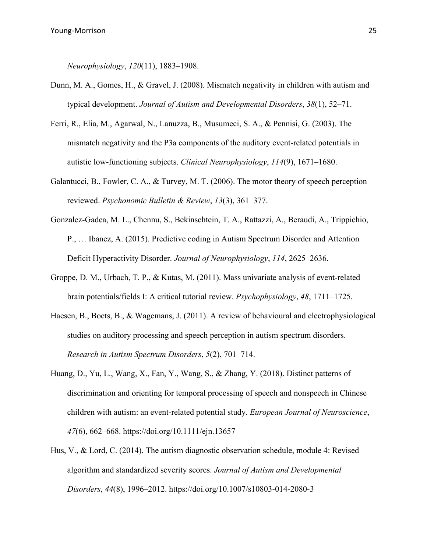*Neurophysiology*, *120*(11), 1883–1908.

- Dunn, M. A., Gomes, H., & Gravel, J. (2008). Mismatch negativity in children with autism and typical development. *Journal of Autism and Developmental Disorders*, *38*(1), 52–71.
- Ferri, R., Elia, M., Agarwal, N., Lanuzza, B., Musumeci, S. A., & Pennisi, G. (2003). The mismatch negativity and the P3a components of the auditory event-related potentials in autistic low-functioning subjects. *Clinical Neurophysiology*, *114*(9), 1671–1680.
- Galantucci, B., Fowler, C. A., & Turvey, M. T. (2006). The motor theory of speech perception reviewed. *Psychonomic Bulletin & Review*, *13*(3), 361–377.
- Gonzalez-Gadea, M. L., Chennu, S., Bekinschtein, T. A., Rattazzi, A., Beraudi, A., Trippichio, P., … Ibanez, A. (2015). Predictive coding in Autism Spectrum Disorder and Attention Deficit Hyperactivity Disorder. *Journal of Neurophysiology*, *114*, 2625–2636.
- Groppe, D. M., Urbach, T. P., & Kutas, M. (2011). Mass univariate analysis of event-related brain potentials/fields I: A critical tutorial review. *Psychophysiology*, *48*, 1711–1725.
- Haesen, B., Boets, B., & Wagemans, J. (2011). A review of behavioural and electrophysiological studies on auditory processing and speech perception in autism spectrum disorders. *Research in Autism Spectrum Disorders*, *5*(2), 701–714.
- Huang, D., Yu, L., Wang, X., Fan, Y., Wang, S., & Zhang, Y. (2018). Distinct patterns of discrimination and orienting for temporal processing of speech and nonspeech in Chinese children with autism: an event-related potential study. *European Journal of Neuroscience*, *47*(6), 662–668. https://doi.org/10.1111/ejn.13657
- Hus, V., & Lord, C. (2014). The autism diagnostic observation schedule, module 4: Revised algorithm and standardized severity scores. *Journal of Autism and Developmental Disorders*, *44*(8), 1996–2012. https://doi.org/10.1007/s10803-014-2080-3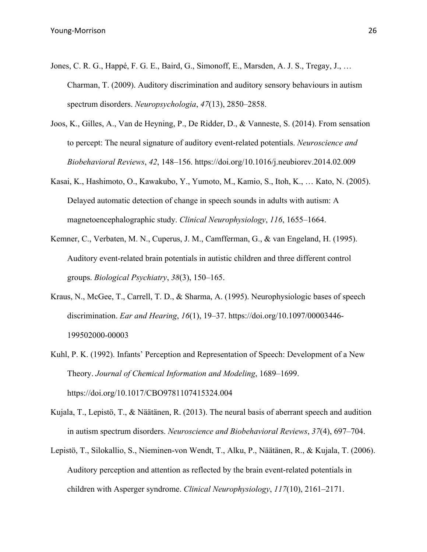- Jones, C. R. G., Happé, F. G. E., Baird, G., Simonoff, E., Marsden, A. J. S., Tregay, J., … Charman, T. (2009). Auditory discrimination and auditory sensory behaviours in autism spectrum disorders. *Neuropsychologia*, *47*(13), 2850–2858.
- Joos, K., Gilles, A., Van de Heyning, P., De Ridder, D., & Vanneste, S. (2014). From sensation to percept: The neural signature of auditory event-related potentials. *Neuroscience and Biobehavioral Reviews*, *42*, 148–156. https://doi.org/10.1016/j.neubiorev.2014.02.009
- Kasai, K., Hashimoto, O., Kawakubo, Y., Yumoto, M., Kamio, S., Itoh, K., … Kato, N. (2005). Delayed automatic detection of change in speech sounds in adults with autism: A magnetoencephalographic study. *Clinical Neurophysiology*, *116*, 1655–1664.
- Kemner, C., Verbaten, M. N., Cuperus, J. M., Camfferman, G., & van Engeland, H. (1995). Auditory event-related brain potentials in autistic children and three different control groups. *Biological Psychiatry*, *38*(3), 150–165.
- Kraus, N., McGee, T., Carrell, T. D., & Sharma, A. (1995). Neurophysiologic bases of speech discrimination. *Ear and Hearing*, *16*(1), 19–37. https://doi.org/10.1097/00003446- 199502000-00003
- Kuhl, P. K. (1992). Infants' Perception and Representation of Speech: Development of a New Theory. *Journal of Chemical Information and Modeling*, 1689–1699. https://doi.org/10.1017/CBO9781107415324.004
- Kujala, T., Lepistö, T., & Näätänen, R. (2013). The neural basis of aberrant speech and audition in autism spectrum disorders. *Neuroscience and Biobehavioral Reviews*, *37*(4), 697–704.
- Lepistö, T., Silokallio, S., Nieminen-von Wendt, T., Alku, P., Näätänen, R., & Kujala, T. (2006). Auditory perception and attention as reflected by the brain event-related potentials in children with Asperger syndrome. *Clinical Neurophysiology*, *117*(10), 2161–2171.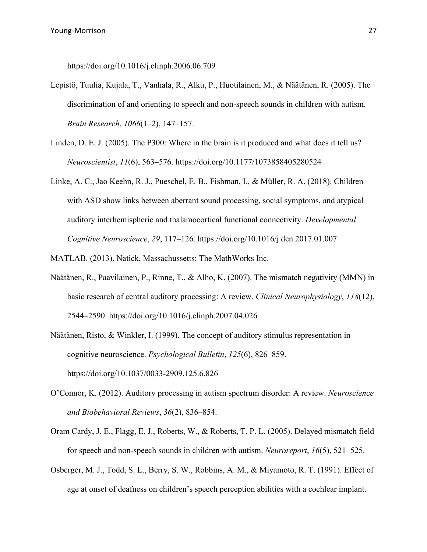https://doi.org/10.1016/j.clinph.2006.06.709

- Lepistö, Tuulia, Kujala, T., Vanhala, R., Alku, P., Huotilainen, M., & Näätänen, R. (2005). The discrimination of and orienting to speech and non-speech sounds in children with autism. *Brain Research*, *1066*(1–2), 147–157.
- Linden, D. E. J. (2005). The P300: Where in the brain is it produced and what does it tell us? *Neuroscientist*, *11*(6), 563–576. https://doi.org/10.1177/1073858405280524
- Linke, A. C., Jao Keehn, R. J., Pueschel, E. B., Fishman, I., & Müller, R. A. (2018). Children with ASD show links between aberrant sound processing, social symptoms, and atypical auditory interhemispheric and thalamocortical functional connectivity. *Developmental Cognitive Neuroscience*, *29*, 117–126. https://doi.org/10.1016/j.dcn.2017.01.007
- MATLAB. (2013). Natick, Massachussetts: The MathWorks Inc.
- Näätänen, R., Paavilainen, P., Rinne, T., & Alho, K. (2007). The mismatch negativity (MMN) in basic research of central auditory processing: A review. *Clinical Neurophysiology*, *118*(12), 2544–2590. https://doi.org/10.1016/j.clinph.2007.04.026
- Näätänen, Risto, & Winkler, I. (1999). The concept of auditory stimulus representation in cognitive neuroscience. *Psychological Bulletin*, *125*(6), 826–859. https://doi.org/10.1037/0033-2909.125.6.826
- O'Connor, K. (2012). Auditory processing in autism spectrum disorder: A review. *Neuroscience and Biobehavioral Reviews*, *36*(2), 836–854.
- Oram Cardy, J. E., Flagg, E. J., Roberts, W., & Roberts, T. P. L. (2005). Delayed mismatch field for speech and non-speech sounds in children with autism. *Neuroreport*, *16*(5), 521–525.
- Osberger, M. J., Todd, S. L., Berry, S. W., Robbins, A. M., & Miyamoto, R. T. (1991). Effect of age at onset of deafness on children's speech perception abilities with a cochlear implant.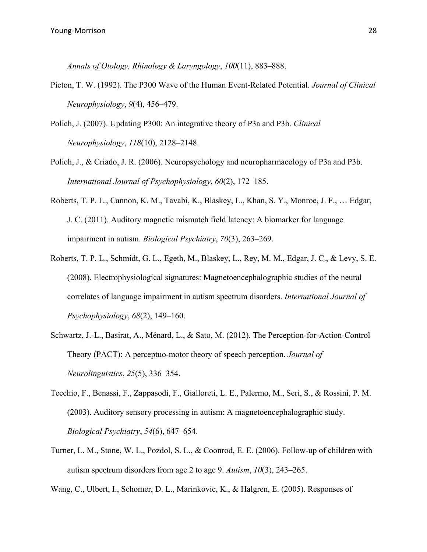*Annals of Otology, Rhinology & Laryngology*, *100*(11), 883–888.

- Picton, T. W. (1992). The P300 Wave of the Human Event-Related Potential. *Journal of Clinical Neurophysiology*, *9*(4), 456–479.
- Polich, J. (2007). Updating P300: An integrative theory of P3a and P3b. *Clinical Neurophysiology*, *118*(10), 2128–2148.
- Polich, J., & Criado, J. R. (2006). Neuropsychology and neuropharmacology of P3a and P3b. *International Journal of Psychophysiology*, *60*(2), 172–185.
- Roberts, T. P. L., Cannon, K. M., Tavabi, K., Blaskey, L., Khan, S. Y., Monroe, J. F., … Edgar, J. C. (2011). Auditory magnetic mismatch field latency: A biomarker for language impairment in autism. *Biological Psychiatry*, *70*(3), 263–269.
- Roberts, T. P. L., Schmidt, G. L., Egeth, M., Blaskey, L., Rey, M. M., Edgar, J. C., & Levy, S. E. (2008). Electrophysiological signatures: Magnetoencephalographic studies of the neural correlates of language impairment in autism spectrum disorders. *International Journal of Psychophysiology*, *68*(2), 149–160.
- Schwartz, J.-L., Basirat, A., Ménard, L., & Sato, M. (2012). The Perception-for-Action-Control Theory (PACT): A perceptuo-motor theory of speech perception. *Journal of Neurolinguistics*, *25*(5), 336–354.
- Tecchio, F., Benassi, F., Zappasodi, F., Gialloreti, L. E., Palermo, M., Seri, S., & Rossini, P. M. (2003). Auditory sensory processing in autism: A magnetoencephalographic study. *Biological Psychiatry*, *54*(6), 647–654.
- Turner, L. M., Stone, W. L., Pozdol, S. L., & Coonrod, E. E. (2006). Follow-up of children with autism spectrum disorders from age 2 to age 9. *Autism*, *10*(3), 243–265.
- Wang, C., Ulbert, I., Schomer, D. L., Marinkovic, K., & Halgren, E. (2005). Responses of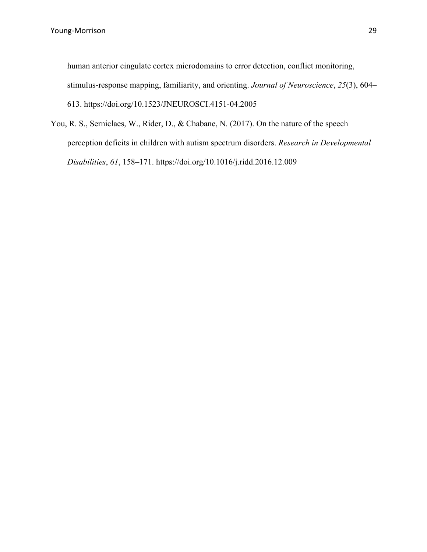human anterior cingulate cortex microdomains to error detection, conflict monitoring, stimulus-response mapping, familiarity, and orienting. *Journal of Neuroscience*, *25*(3), 604– 613. https://doi.org/10.1523/JNEUROSCI.4151-04.2005

You, R. S., Serniclaes, W., Rider, D., & Chabane, N. (2017). On the nature of the speech perception deficits in children with autism spectrum disorders. *Research in Developmental Disabilities*, *61*, 158–171. https://doi.org/10.1016/j.ridd.2016.12.009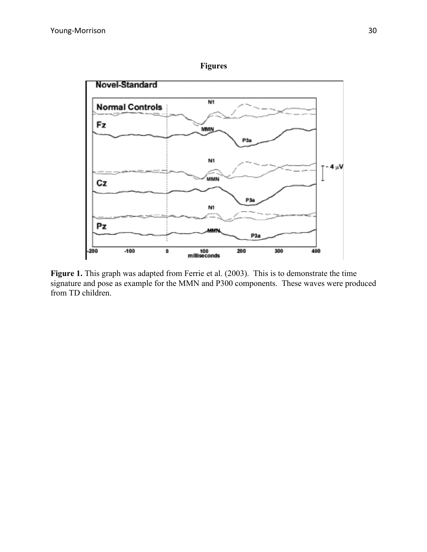

Figure 1. This graph was adapted from Ferrie et al. (2003). This is to demonstrate the time signature and pose as example for the MMN and P300 components. These waves were produced from TD children.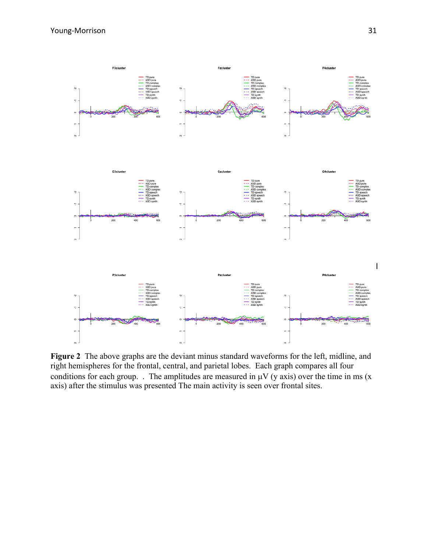

**Figure 2** The above graphs are the deviant minus standard waveforms for the left, midline, and right hemispheres for the frontal, central, and parietal lobes. Each graph compares all four conditions for each group. . The amplitudes are measured in  $\mu$ V (y axis) over the time in ms (x axis) after the stimulus was presented The main activity is seen over frontal sites.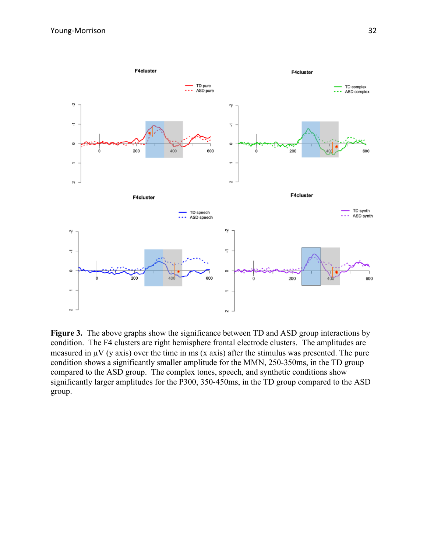

**Figure 3.** The above graphs show the significance between TD and ASD group interactions by condition. The F4 clusters are right hemisphere frontal electrode clusters. The amplitudes are measured in  $\mu$ V (y axis) over the time in ms (x axis) after the stimulus was presented. The pure condition shows a significantly smaller amplitude for the MMN, 250-350ms, in the TD group compared to the ASD group. The complex tones, speech, and synthetic conditions show significantly larger amplitudes for the P300, 350-450ms, in the TD group compared to the ASD group.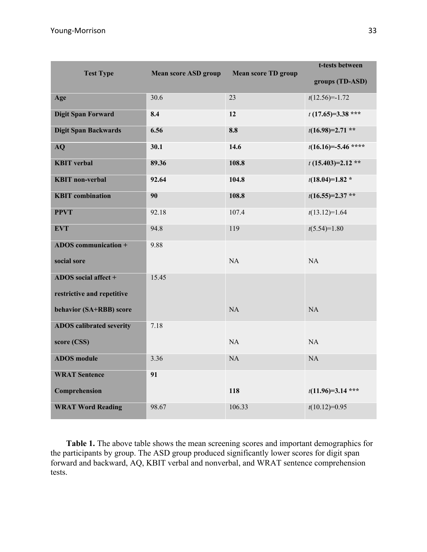|                                 |       |                                                           | t-tests between       |
|---------------------------------|-------|-----------------------------------------------------------|-----------------------|
| <b>Test Type</b>                |       | <b>Mean score TD group</b><br><b>Mean score ASD group</b> |                       |
| Age                             | 30.6  | 23                                                        | $t(12.56)=-1.72$      |
| <b>Digit Span Forward</b>       | 8.4   | 12                                                        | $t(17.65)=3.38***$    |
| <b>Digit Span Backwards</b>     | 6.56  | 8.8                                                       | $t(16.98)=2.71$ **    |
| AQ                              | 30.1  | 14.6                                                      | $t(16.16)=-5.46$ **** |
| <b>KBIT</b> verbal              | 89.36 | 108.8                                                     | $t(15.403)=2.12**$    |
| <b>KBIT</b> non-verbal          | 92.64 | 104.8                                                     | $t(18.04)=1.82*$      |
| <b>KBIT</b> combination         | 90    | 108.8                                                     | $t(16.55)=2.37**$     |
| <b>PPVT</b>                     | 92.18 | 107.4                                                     | $t(13.12)=1.64$       |
| <b>EVT</b>                      | 94.8  | 119                                                       | $t(5.54)=1.80$        |
| ADOS communication +            | 9.88  |                                                           |                       |
| social sore                     |       | NA                                                        | NA                    |
| ADOS social affect +            | 15.45 |                                                           |                       |
| restrictive and repetitive      |       |                                                           |                       |
| behavior (SA+RBB) score         |       | NA                                                        | NA                    |
| <b>ADOS</b> calibrated severity | 7.18  |                                                           |                       |
| score (CSS)                     |       | <b>NA</b>                                                 | NA                    |
| <b>ADOS</b> module              | 3.36  | NA                                                        | NA                    |
| <b>WRAT Sentence</b>            | 91    |                                                           |                       |
| Comprehension                   |       | 118                                                       | $t(11.96)=3.14$ ***   |
| <b>WRAT Word Reading</b>        | 98.67 | 106.33                                                    | $t(10.12)=0.95$       |

**Table 1.** The above table shows the mean screening scores and important demographics for the participants by group. The ASD group produced significantly lower scores for digit span forward and backward, AQ, KBIT verbal and nonverbal, and WRAT sentence comprehension tests.